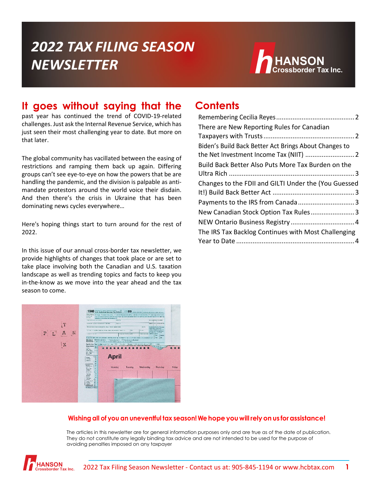# **2022 TAX FILING SEASON NEWSLETTER**



### **It goes without saying that the**

past year has continued the trend of COVID-19-related challenges. Just ask the Internal Revenue Service, which has just seen their most challenging year to date. But more on that later.

The global community has vacillated between the easing of restrictions and ramping them back up again. Differing groups can't see eye-to-eye on how the powers that be are handling the pandemic, and the division is palpable as antimandate protestors around the world voice their disdain. And then there's the crisis in Ukraine that has been dominating news cycles everywhere…

Here's hoping things start to turn around for the rest of 2022.

In this issue of our annual cross-border tax newsletter, we provide highlights of changes that took place or are set to take place involving both the Canadian and U.S. taxation landscape as well as trending topics and facts to keep you in-the-know as we move into the year ahead and the tax season to come.

### **Contents**

| There are New Reporting Rules for Canadian            |
|-------------------------------------------------------|
|                                                       |
| Biden's Build Back Better Act Brings About Changes to |
|                                                       |
| Build Back Better Also Puts More Tax Burden on the    |
|                                                       |
| Changes to the FDII and GILTI Under the (You Guessed  |
|                                                       |
|                                                       |
| New Canadian Stock Option Tax Rules3                  |
|                                                       |
| The IRS Tax Backlog Continues with Most Challenging   |
|                                                       |



#### **Wishing all of you an uneventful tax season! We hopeyou willrelyon us forassistance!**

The articles in this newsletter are for general information purposes only and are true as of the date of publication. They do not constitute any legally binding tax advice and are not intended to be used for the purpose of avoiding penalties imposed on any taxpayer

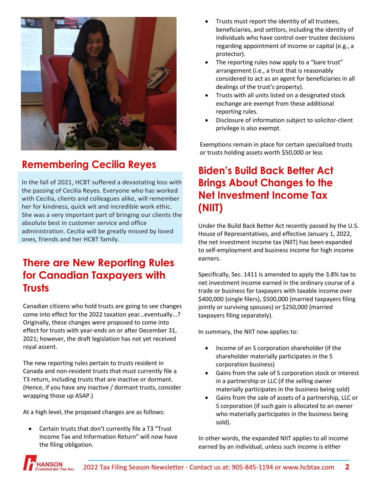

## <span id="page-1-0"></span>**Remembering Cecilia Reyes**

In the fall of 2021, HCBT suffered a devastating loss with the passing of Cecilia Reyes. Everyone who has worked with Cecilia, clients and colleagues alike, will remember her for kindness, quick wit and incredible work ethic. She was a very important part of bringing our clients the absolute best in customer service and office administration. Cecilia will be greatly missed by loved ones, friends and her HCBT family.

### <span id="page-1-1"></span>**There are New Reporting Rules for Canadian Taxpayers with Trusts**

Canadian citizens who hold trusts are going to see changes come into effect for the 2022 taxation year…eventually...? Originally, these changes were proposed to come into effect for trusts with year-ends on or after December 31, 2021; however, the draft legislation has not yet received royal assent.

The new reporting rules pertain to trusts resident in Canada and non-resident trusts that must currently file a T3 return, including trusts that are inactive or dormant. (Hence, if you have any inactive / dormant trusts, consider wrapping those up ASAP.)

At a high level, the proposed changes are as follows:

• Certain trusts that don't currently file a T3 "Trust Income Tax and Information Return" will now have the filing obligation.

- Trusts must report the identity of all trustees, beneficiaries, and settlors, including the identity of individuals who have control over trustee decisions regarding appointment of income or capital (e.g., a protector).
- The reporting rules now apply to a "bare trust" arrangement (i.e., a trust that is reasonably considered to act as an agent for beneficiaries in all dealings of the trust's property).
- Trusts with all units listed on a designated stock exchange are exempt from these additional reporting rules.
- Disclosure of information subject to solicitor-client privilege is also exempt.

Exemptions remain in place for certain specialized trusts or trusts holding assets worth \$50,000 or less

## <span id="page-1-2"></span>**Biden's Build Back Better Act Brings About Changes to the Net Investment Income Tax (NIIT)**

Under the Build Back Better Act recently passed by the U.S. House of Representatives, and effective January 1, 2022, the net investment income tax (NIIT) has been expanded to self-employment and business income for high income earners.

Specifically, Sec. 1411 is amended to apply the 3.8% tax to net investment income earned in the ordinary course of a trade or business for taxpayers with taxable income over \$400,000 (single filers), \$500,000 (married taxpayers filing jointly or surviving spouses) or \$250,000 (married taxpayers filing separately).

In summary, the NIIT now applies to:

- Income of an S corporation shareholder (if the shareholder materially participates in the S corporation business)
- Gains from the sale of S corporation stock or interest in a partnership or LLC (if the selling owner materially participates in the business being sold)
- Gains from the sale of assets of a partnership, LLC or S corporation (if such gain is allocated to an owner who materially participates in the business being sold).

In other words, the expanded NIIT applies to all income earned by an individual, unless such income is either

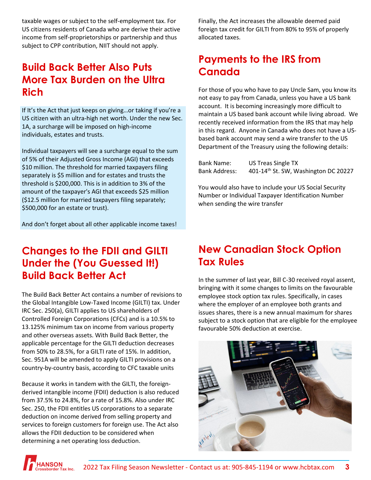taxable wages or subject to the self-employment tax. For US citizens residents of Canada who are derive their active income from self-proprietorships or partnership and thus subject to CPP contribution, NIIT should not apply.

## <span id="page-2-0"></span>**Build Back Better Also Puts More Tax Burden on the Ultra Rich**

If It's the Act that just keeps on giving…or taking if you're a US citizen with an ultra-high net worth. Under the new Sec. 1A, a surcharge will be imposed on high-income individuals, estates and trusts.

Individual taxpayers will see a surcharge equal to the sum of 5% of their Adjusted Gross Income (AGI) that exceeds \$10 million. The threshold for married taxpayers filing separately is \$5 million and for estates and trusts the threshold is \$200,000. This is in addition to 3% of the amount of the taxpayer's AGI that exceeds \$25 million (\$12.5 million for married taxpayers filing separately; \$500,000 for an estate or trust).

And don't forget about all other applicable income taxes!

### <span id="page-2-1"></span>**Changes to the FDII and GILTI Under the (You Guessed It!) Build Back Better Act**

The Build Back Better Act contains a number of revisions to the Global Intangible Low-Taxed Income (GILTI) tax. Under IRC Sec. 250(a), GILTI applies to US shareholders of Controlled Foreign Corporations (CFCs) and is a 10.5% to 13.125% minimum tax on income from various property and other overseas assets. With Build Back Better, the applicable percentage for the GILTI deduction decreases from 50% to 28.5%, for a GILTI rate of 15%. In addition, Sec. 951A will be amended to apply GILTI provisions on a country-by-country basis, according to CFC taxable units

Because it works in tandem with the GILTI, the foreignderived intangible income (FDII) deduction is also reduced from 37.5% to 24.8%, for a rate of 15.8%. Also under IRC Sec. 250, the FDII entitles US corporations to a separate deduction on income derived from selling property and services to foreign customers for foreign use. The Act also allows the FDII deduction to be considered when determining a net operating loss deduction.

Finally, the Act increases the allowable deemed paid foreign tax credit for GILTI from 80% to 95% of properly allocated taxes.

# <span id="page-2-2"></span>**Payments to the IRS from Canada**

For those of you who have to pay Uncle Sam, you know its not easy to pay from Canada, unless you have a US bank account. It is becoming increasingly more difficult to maintain a US based bank account while living abroad. We recently received information from the IRS that may help in this regard. Anyone in Canada who does not have a USbased bank account may send a wire transfer to the US Department of the Treasury using the following details:

| <b>Bank Name:</b>    | <b>US Treas Single TX</b>                        |
|----------------------|--------------------------------------------------|
| <b>Bank Address:</b> | 401-14 <sup>th</sup> St. SW, Washington DC 20227 |

You would also have to include your US Social Security Number or Individual Taxpayer Identification Number when sending the wire transfer

# <span id="page-2-3"></span>**New Canadian Stock Option Tax Rules**

In the summer of last year, Bill C-30 received royal assent, bringing with it some changes to limits on the favourable employee stock option tax rules. Specifically, in cases where the employer of an employee both grants and issues shares, there is a new annual maximum for shares subject to a stock option that are eligible for the employee favourable 50% deduction at exercise.



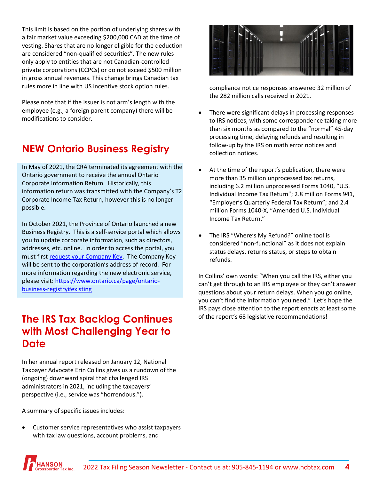This limit is based on the portion of underlying shares with a fair market value exceeding \$200,000 CAD at the time of vesting. Shares that are no longer eligible for the deduction are considered "non-qualified securities". The new rules only apply to entities that are not Canadian-controlled private corporations (CCPCs) or do not exceed \$500 million in gross annual revenues. This change brings Canadian tax rules more in line with US incentive stock option rules.

Please note that if the issuer is not arm's length with the employee (e.g., a foreign parent company) there will be modifications to consider.

# <span id="page-3-0"></span>**NEW Ontario Business Registry**

In May of 2021, the CRA terminated its agreement with the Ontario government to receive the annual Ontario Corporate Information Return. Historically, this information return was transmitted with the Company's T2 Corporate Income Tax Return, however this is no longer possible.

In October 2021, the Province of Ontario launched a new Business Registry. This is a self-service portal which allows you to update corporate information, such as directors, addresses, etc. online. In order to access the portal, you must firs[t request your Company Key.](https://www.appmybizaccount.gov.on.ca/onbis/companykey/?lang=en) The Company Key will be sent to the corporation's address of record. For more information regarding the new electronic service, please visit: [https://www.ontario.ca/page/ontario](https://www.ontario.ca/page/ontario-business-registry#existing)[business-registry#existing](https://www.ontario.ca/page/ontario-business-registry#existing) 

### <span id="page-3-1"></span>**The IRS Tax Backlog Continues with Most Challenging Year to Date**

In her annual report released on January 12, National Taxpayer Advocate Erin Collins gives us a rundown of the (ongoing) downward spiral that challenged IRS administrators in 2021, including the taxpayers' perspective (i.e., service was "horrendous.").

A summary of specific issues includes:

• Customer service representatives who assist taxpayers with tax law questions, account problems, and



compliance notice responses answered 32 million of the 282 million calls received in 2021.

- There were significant delays in processing responses to IRS notices, with some correspondence taking more than six months as compared to the "normal" 45-day processing time, delaying refunds and resulting in follow-up by the IRS on math error notices and collection notices.
- At the time of the report's publication, there were more than 35 million unprocessed tax returns, including 6.2 million unprocessed Forms 1040, "U.S. Individual Income Tax Return"; 2.8 million Forms 941, "Employer's Quarterly Federal Tax Return"; and 2.4 million Forms 1040-X, "Amended U.S. Individual Income Tax Return."
- The IRS "Where's My Refund?" online tool is considered "non-functional" as it does not explain status delays, returns status, or steps to obtain refunds.

In Collins' own words: "When you call the IRS, either you can't get through to an IRS employee or they can't answer questions about your return delays. When you go online, you can't find the information you need." Let's hope the IRS pays close attention to the report enacts at least some of the report's 68 legislative recommendations!

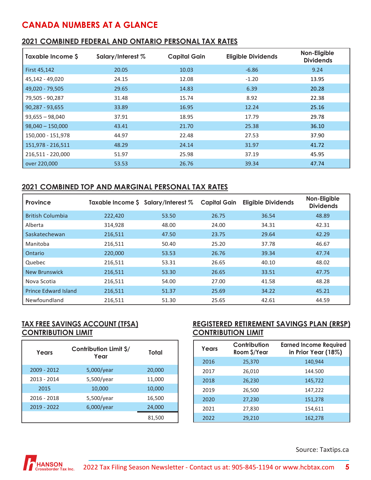### **CANADA NUMBERS AT A GLANCE**

#### **2021 COMBINED FEDERAL AND ONTARIO PERSONAL TAX RATES**

| Taxable Income \$  | Salary/Interest % | <b>Capital Gain</b> | <b>Eligible Dividends</b> | Non-Eligible<br><b>Dividends</b> |
|--------------------|-------------------|---------------------|---------------------------|----------------------------------|
| First 45,142       | 20.05             | 10.03               | $-6.86$                   | 9.24                             |
| 45,142 - 49,020    | 24.15             | 12.08               | $-1.20$                   | 13.95                            |
| 49,020 - 79,505    | 29.65             | 14.83               | 6.39                      | 20.28                            |
| 79,505 - 90,287    | 31.48             | 15.74               | 8.92                      | 22.38                            |
| 90,287 - 93,655    | 33.89             | 16.95               | 12.24                     | 25.16                            |
| $93,655 - 98,040$  | 37.91             | 18.95               | 17.79                     | 29.78                            |
| $98,040 - 150,000$ | 43.41             | 21.70               | 25.38                     | 36.10                            |
| 150,000 - 151,978  | 44.97             | 22.48               | 27.53                     | 37.90                            |
| 151,978 - 216,511  | 48.29             | 24.14               | 31.97                     | 41.72                            |
| 216,511 - 220,000  | 51.97             | 25.98               | 37.19                     | 45.95                            |
| over 220,000       | 53.53             | 26.76               | 39.34                     | 47.74                            |

#### **2021 COMBINED TOP AND MARGINAL PERSONAL TAX RATES**

| Province                    |         | Taxable Income $\frac{1}{2}$ Salary/Interest $\%$ | <b>Capital Gain</b> | <b>Eligible Dividends</b> | Non-Eligible<br><b>Dividends</b> |
|-----------------------------|---------|---------------------------------------------------|---------------------|---------------------------|----------------------------------|
| <b>British Columbia</b>     | 222,420 | 53.50                                             | 26.75               | 36.54                     | 48.89                            |
| Alberta                     | 314,928 | 48.00                                             | 24.00               | 34.31                     | 42.31                            |
| Saskatechewan               | 216,511 | 47.50                                             | 23.75               | 29.64                     | 42.29                            |
| Manitoba                    | 216,511 | 50.40                                             | 25.20               | 37.78                     | 46.67                            |
| Ontario                     | 220,000 | 53.53                                             | 26.76               | 39.34                     | 47.74                            |
| Quebec                      | 216,511 | 53.31                                             | 26.65               | 40.10                     | 48.02                            |
| <b>New Brunswick</b>        | 216,511 | 53.30                                             | 26.65               | 33.51                     | 47.75                            |
| Nova Scotia                 | 216,511 | 54.00                                             | 27.00               | 41.58                     | 48.28                            |
| <b>Prince Edward Island</b> | 216,511 | 51.37                                             | 25.69               | 34.22                     | 45.21                            |
| Newfoundland                | 216,511 | 51.30                                             | 25.65               | 42.61                     | 44.59                            |

#### **TAX FREE SAVINGS ACCOUNT (TFSA) CONTRIBUTION LIMIT**

| Years       | <b>Contribution Limit \$/</b><br>Year | Total  |
|-------------|---------------------------------------|--------|
| 2009 - 2012 | $5,000$ /year                         | 20,000 |
| 2013 - 2014 | 5,500/year                            | 11,000 |
| 2015        | 10,000                                | 10,000 |
| 2016 - 2018 | $5,500$ /year                         | 16,500 |
| 2019 - 2022 | $6,000$ /year                         | 24,000 |
|             |                                       | 81,500 |

#### **REGISTERED RETIREMENT SAVINGS PLAN (RRSP) CONTRIBUTION LIMIT**

| Years | Contribution<br>Room \$/Year | <b>Earned Income Required</b><br>in Prior Year (18%) |
|-------|------------------------------|------------------------------------------------------|
| 2016  | 25,370                       | 140,944                                              |
| 2017  | 26,010                       | 144.500                                              |
| 2018  | 26,230                       | 145,722                                              |
| 2019  | 26,500                       | 147,222                                              |
| 2020  | 27,230                       | 151,278                                              |
| 2021  | 27,830                       | 154,611                                              |
| 2022  | 29,210                       | 162,278                                              |

Source: Taxtips.ca

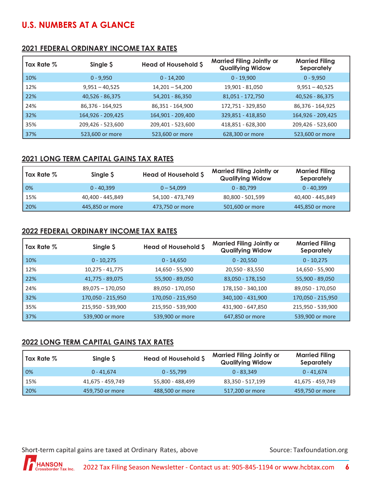### **U.S. NUMBERS AT A GLANCE**

#### **2021 FEDERAL ORDINARY INCOME TAX RATES**

| Tax Rate % | Single \$         | Head of Household \$ | <b>Married Filing Jointly or</b><br><b>Qualifying Widow</b> | <b>Married Filing</b><br>Separately |
|------------|-------------------|----------------------|-------------------------------------------------------------|-------------------------------------|
| 10%        | $0 - 9,950$       | $0 - 14,200$         | $0 - 19,900$                                                | $0 - 9,950$                         |
| 12%        | $9,951 - 40,525$  | $14,201 - 54,200$    | 19,901 - 81,050                                             | $9,951 - 40,525$                    |
| 22%        | 40,526 - 86,375   | 54,201 - 86,350      | 81,051 - 172,750                                            | 40,526 - 86,375                     |
| 24%        | 86,376 - 164,925  | 86,351 - 164,900     | 172,751 - 329,850                                           | 86,376 - 164,925                    |
| 32%        | 164,926 - 209,425 | 164,901 - 209,400    | 329,851 - 418,850                                           | 164,926 - 209,425                   |
| 35%        | 209,426 - 523,600 | 209,401 - 523,600    | 418,851 - 628,300                                           | 209,426 - 523,600                   |
| 37%        | 523,600 or more   | 523,600 or more      | 628,300 or more                                             | 523,600 or more                     |

#### **2021 LONG TERM CAPITAL GAINS TAX RATES**

| Tax Rate $\%$ | Single \$        | Head of Household \$ | <b>Married Filing Jointly or</b><br><b>Qualifying Widow</b> | <b>Married Filing</b><br>Separately |
|---------------|------------------|----------------------|-------------------------------------------------------------|-------------------------------------|
| 0%            | $0 - 40.399$     | $0 - 54,099$         | $0 - 80,799$                                                | $0 - 40.399$                        |
| 15%           | 40,400 - 445,849 | 54,100 - 473,749     | 80,800 - 501,599                                            | 40,400 - 445,849                    |
| 20%           | 445,850 or more  | 473,750 or more      | 501,600 or more                                             | 445,850 or more                     |

#### **2022 FEDERAL ORDINARY INCOME TAX RATES**

| Tax Rate % | Single \$          | Head of Household \$ | <b>Married Filing Jointly or</b><br><b>Qualifying Widow</b> | <b>Married Filing</b><br>Separately |
|------------|--------------------|----------------------|-------------------------------------------------------------|-------------------------------------|
| 10%        | $0 - 10,275$       | $0 - 14,650$         | $0 - 20,550$                                                | $0 - 10,275$                        |
| 12%        | 10,275 - 41,775    | 14,650 - 55,900      | 20,550 - 83,550                                             | 14,650 - 55,900                     |
| 22%        | 41,775 - 89,075    | 55,900 - 89,050      | 83,050 - 178,150                                            | 55,900 - 89,050                     |
| 24%        | $89,075 - 170,050$ | 89,050 - 170,050     | 178,150 - 340,100                                           | 89,050 - 170,050                    |
| 32%        | 170,050 - 215,950  | 170,050 - 215,950    | 340,100 - 431,900                                           | 170,050 - 215,950                   |
| 35%        | 215,950 - 539,900  | 215,950 - 539,900    | 431,900 - 647,850                                           | 215,950 - 539,900                   |
| 37%        | 539,900 or more    | 539,900 or more      | 647,850 or more                                             | 539,900 or more                     |

#### **2022 LONG TERM CAPITAL GAINS TAX RATES**

| Tax Rate $\%$ | Single S         | <b>Head of Household \$</b> | <b>Married Filing Jointly or</b><br><b>Qualifying Widow</b> | <b>Married Filing</b><br>Separately |
|---------------|------------------|-----------------------------|-------------------------------------------------------------|-------------------------------------|
| 0%            | $0 - 41.674$     | $0 - 55.799$                | $0 - 83.349$                                                | $0 - 41.674$                        |
| 15%           | 41,675 - 459,749 | 55,800 - 488,499            | 83,350 - 517,199                                            | 41,675 - 459,749                    |
| 20%           | 459,750 or more  | 488,500 or more             | 517,200 or more                                             | 459,750 or more                     |

Short-term capital gains are taxed at Ordinary Rates, above Source: Taxfoundation.org